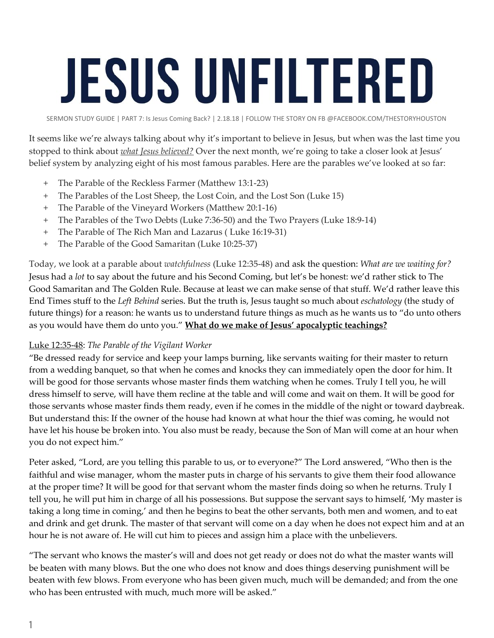## **JESUS UNFILTERED**

SERMON STUDY GUIDE | PART 7: Is Jesus Coming Back? | 2.18.18 | FOLLOW THE STORY ON FB @FACEBOOK.COM/THESTORYHOUSTON

It seems like we're always talking about why it's important to believe in Jesus, but when was the last time you stopped to think about *what Jesus believed?* Over the next month, we're going to take a closer look at Jesus' belief system by analyzing eight of his most famous parables. Here are the parables we've looked at so far:

- The Parable of the Reckless Farmer (Matthew 13:1-23)
- + The Parables of the Lost Sheep, the Lost Coin, and the Lost Son (Luke 15)
- + The Parable of the Vineyard Workers (Matthew 20:1-16)
- + The Parables of the Two Debts (Luke 7:36-50) and the Two Prayers (Luke 18:9-14)
- + The Parable of The Rich Man and Lazarus ( Luke 16:19-31)
- + The Parable of the Good Samaritan (Luke 10:25-37)

Today, we look at a parable about *watchfulness* (Luke 12:35-48) and ask the question: *What are we waiting for?* Jesus had a *lot* to say about the future and his Second Coming, but let's be honest: we'd rather stick to The Good Samaritan and The Golden Rule. Because at least we can make sense of that stuff. We'd rather leave this End Times stuff to the *Left Behind* series. But the truth is, Jesus taught so much about *eschatology* (the study of future things) for a reason: he wants us to understand future things as much as he wants us to "do unto others as you would have them do unto you." **What do we make of Jesus' apocalyptic teachings?**

## Luke 12:35-48: *The Parable of the Vigilant Worker*

"Be dressed ready for service and keep your lamps burning, like servants waiting for their master to return from a wedding banquet, so that when he comes and knocks they can immediately open the door for him. It will be good for those servants whose master finds them watching when he comes. Truly I tell you, he will dress himself to serve, will have them recline at the table and will come and wait on them. It will be good for those servants whose master finds them ready, even if he comes in the middle of the night or toward daybreak. But understand this: If the owner of the house had known at what hour the thief was coming, he would not have let his house be broken into. You also must be ready, because the Son of Man will come at an hour when you do not expect him."

Peter asked, "Lord, are you telling this parable to us, or to everyone?" The Lord answered, "Who then is the faithful and wise manager, whom the master puts in charge of his servants to give them their food allowance at the proper time? It will be good for that servant whom the master finds doing so when he returns. Truly I tell you, he will put him in charge of all his possessions. But suppose the servant says to himself, 'My master is taking a long time in coming,' and then he begins to beat the other servants, both men and women, and to eat and drink and get drunk. The master of that servant will come on a day when he does not expect him and at an hour he is not aware of. He will cut him to pieces and assign him a place with the unbelievers.

"The servant who knows the master's will and does not get ready or does not do what the master wants will be beaten with many blows. But the one who does not know and does things deserving punishment will be beaten with few blows. From everyone who has been given much, much will be demanded; and from the one who has been entrusted with much, much more will be asked."